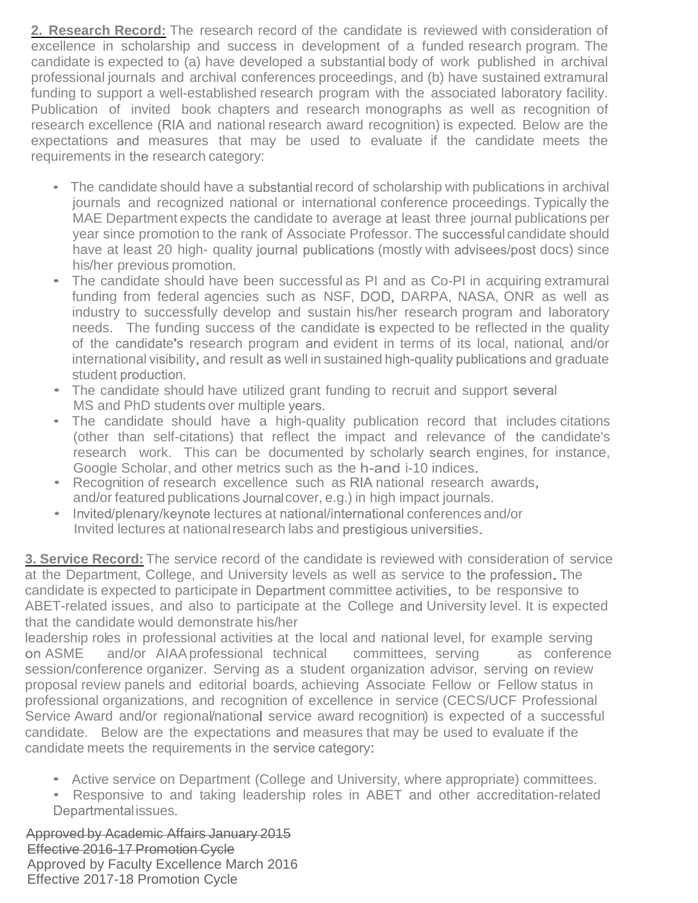**2. Research Record:** The research record of the candidate is reviewed with consideration of excellence in scholarship and success in development of a funded research program. The candidate is expected to (a) have developed a substantial body of work published in archival professional journals and archival conferences proceedings, and (b) have sustained extramural funding to support a well-established research program with the associated laboratory facility. Publication of invited book chapters and research monographs as well as recognition of research excellence (RIA and national research award recognition) is expected. Below are the expectations and measures that may be used to evaluate if the candidate meets the requirements in the research category:

- The candidate should have a substantial record of scholarship with publications in archival journals and recognized national or international conference proceedings. Typically the MAE Department expects the candidate to average at least three journal publications per year since promotion to the rank of Associate Professor. The successful candidate should have at least 20 high- quality journal publications (mostly with advisees/post docs) since his/her previous promotion.
- The candidate should have been successful as PI and as Co-PI in acquiring extramural funding from federal agencies such as NSF, DOD, DARPA, NASA, ONR as well as industry to successfully develop and sustain his/her research program and laboratory needs. The funding success of the candidate is expected to be reflected in the quality of the candidate's research program and evident in terms of its local, national, and/or international visibility, and result as well in sustained high-quality publications and graduate student production.
- The candidate should have utilized grant funding to recruit and support several MS and PhD students over multiple years.
- The candidate should have a high-quality publication record that includes citations (other than self-citations) that reflect the impact and relevance of the candidate's research work. This can be documented by scholarly search engines, for instance, Google Scholar, and other metrics such as the h-and i-10 indices.
- Recognition of research excellence such as RIA national research awards, and/or featured publications Journal cover, e.g.) in high impact journals.
- Invited/plenary/keynote lectures at national/international conferences and/or Invited lectures at national research labs and prestigious universities.

**3. Service Record:** The service record of the candidate is reviewed with consideration of service at the Department, College, and University levels as well as service to the profession. The candidate is expected to participate in Department committee activities, to be responsive to ABET-related issues, and also to participate at the College and University level. It is expected that the candidate would demonstrate his/her

leadership roles in professional activities at the local and national level, for example serving ASME and/or AIAA professional technical committees, serving as conference session/conference organizer. Serving as a student organization advisor, serving on review proposal review panels and editorial boards, achieving Associate Fellow or Fellow status in professional organizations, and recognition of excellence in service (CECS/UCF Professional Service Award and/or regional/national service award recognition) is expected of a successful candidate. Below are the expectations and measures that may be used to evaluate if the candidate meets the requirements in the service category:

Active service on Department (College and University, where appropriate) committees.

Responsive to and taking leadership roles in ABET and other accreditation-related Departmenta